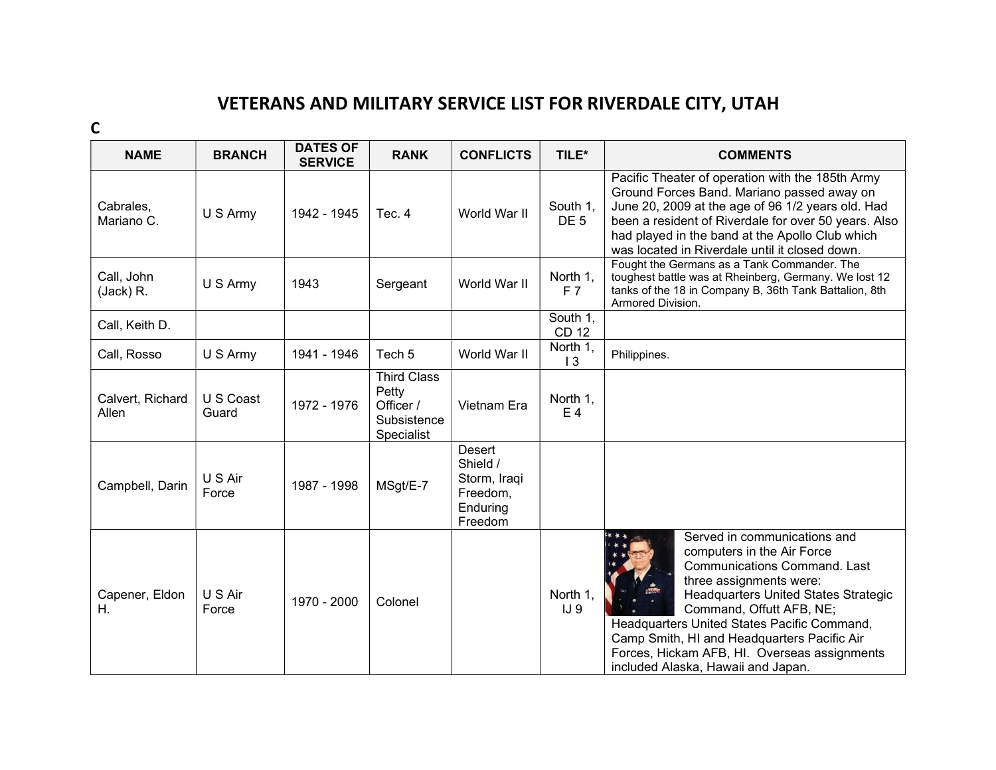## VETERANS AND MILITARY SERVICE LIST FOR RIVERDALE CITY, UTAH

C

| <b>NAME</b>               | <b>BRANCH</b>      | <b>DATES OF</b><br><b>SERVICE</b> | <b>RANK</b>                                                           | <b>CONFLICTS</b>                                                      | TILE*                       | <b>COMMENTS</b>                                                                                                                                                                                                                                                                                                                                                                      |
|---------------------------|--------------------|-----------------------------------|-----------------------------------------------------------------------|-----------------------------------------------------------------------|-----------------------------|--------------------------------------------------------------------------------------------------------------------------------------------------------------------------------------------------------------------------------------------------------------------------------------------------------------------------------------------------------------------------------------|
| Cabrales,<br>Mariano C.   | U S Army           | 1942 - 1945                       | Tec. 4                                                                | World War II                                                          | South 1,<br>DE <sub>5</sub> | Pacific Theater of operation with the 185th Army<br>Ground Forces Band. Mariano passed away on<br>June 20, 2009 at the age of 96 1/2 years old. Had<br>been a resident of Riverdale for over 50 years. Also<br>had played in the band at the Apollo Club which<br>was located in Riverdale until it closed down.                                                                     |
| Call, John<br>(Jack) R.   | U S Army           | 1943                              | Sergeant                                                              | World War II                                                          | North 1,<br>F <sub>7</sub>  | Fought the Germans as a Tank Commander. The<br>toughest battle was at Rheinberg, Germany. We lost 12<br>tanks of the 18 in Company B, 36th Tank Battalion, 8th<br>Armored Division.                                                                                                                                                                                                  |
| Call, Keith D.            |                    |                                   |                                                                       |                                                                       | South 1,<br>CD 12           |                                                                                                                                                                                                                                                                                                                                                                                      |
| Call, Rosso               | U S Army           | 1941 - 1946                       | Tech <sub>5</sub>                                                     | World War II                                                          | North 1,<br>$\overline{13}$ | Philippines.                                                                                                                                                                                                                                                                                                                                                                         |
| Calvert, Richard<br>Allen | U S Coast<br>Guard | 1972 - 1976                       | <b>Third Class</b><br>Petty<br>Officer /<br>Subsistence<br>Specialist | Vietnam Era                                                           | North 1,<br>E <sub>4</sub>  |                                                                                                                                                                                                                                                                                                                                                                                      |
| Campbell, Darin           | U S Air<br>Force   | 1987 - 1998                       | MSgt/E-7                                                              | Desert<br>Shield /<br>Storm, Iraqi<br>Freedom,<br>Enduring<br>Freedom |                             |                                                                                                                                                                                                                                                                                                                                                                                      |
| Capener, Eldon<br>Η.      | U S Air<br>Force   | 1970 - 2000                       | Colonel                                                               |                                                                       | North 1,<br>IJ <sub>9</sub> | Served in communications and<br>computers in the Air Force<br><b>Communications Command. Last</b><br>three assignments were:<br>Headquarters United States Strategic<br>Command, Offutt AFB, NE;<br>Headquarters United States Pacific Command,<br>Camp Smith, HI and Headquarters Pacific Air<br>Forces, Hickam AFB, HI. Overseas assignments<br>included Alaska, Hawaii and Japan. |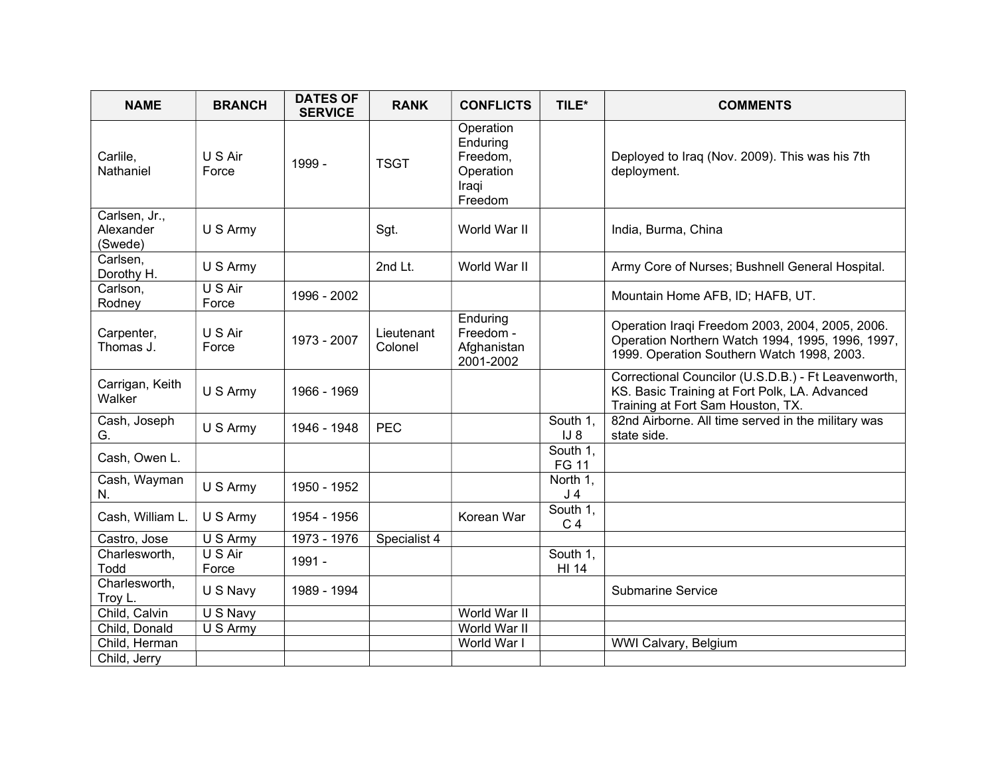| <b>NAME</b>                           | <b>BRANCH</b>    | <b>DATES OF</b><br><b>SERVICE</b> | <b>RANK</b>           | <b>CONFLICTS</b>                                                   | TILE*                      | <b>COMMENTS</b>                                                                                                                                   |
|---------------------------------------|------------------|-----------------------------------|-----------------------|--------------------------------------------------------------------|----------------------------|---------------------------------------------------------------------------------------------------------------------------------------------------|
| Carlile,<br>Nathaniel                 | U S Air<br>Force | 1999 -                            | <b>TSGT</b>           | Operation<br>Enduring<br>Freedom,<br>Operation<br>Iraqi<br>Freedom |                            | Deployed to Iraq (Nov. 2009). This was his 7th<br>deployment.                                                                                     |
| Carlsen, Jr.,<br>Alexander<br>(Swede) | U S Army         |                                   | Sgt.                  | World War II                                                       |                            | India, Burma, China                                                                                                                               |
| Carlsen,<br>Dorothy H.                | U S Army         |                                   | 2nd Lt.               | World War II                                                       |                            | Army Core of Nurses; Bushnell General Hospital.                                                                                                   |
| Carlson,<br>Rodney                    | U S Air<br>Force | 1996 - 2002                       |                       |                                                                    |                            | Mountain Home AFB, ID; HAFB, UT.                                                                                                                  |
| Carpenter,<br>Thomas J.               | U S Air<br>Force | 1973 - 2007                       | Lieutenant<br>Colonel | Enduring<br>Freedom -<br>Afghanistan<br>2001-2002                  |                            | Operation Iraqi Freedom 2003, 2004, 2005, 2006.<br>Operation Northern Watch 1994, 1995, 1996, 1997,<br>1999. Operation Southern Watch 1998, 2003. |
| Carrigan, Keith<br>Walker             | U S Army         | 1966 - 1969                       |                       |                                                                    |                            | Correctional Councilor (U.S.D.B.) - Ft Leavenworth,<br>KS. Basic Training at Fort Polk, LA. Advanced<br>Training at Fort Sam Houston, TX.         |
| Cash, Joseph<br>G.                    | U S Army         | 1946 - 1948                       | <b>PEC</b>            |                                                                    | South 1,<br>$IJ_8$         | 82nd Airborne. All time served in the military was<br>state side.                                                                                 |
| Cash, Owen L.                         |                  |                                   |                       |                                                                    | South 1.<br><b>FG 11</b>   |                                                                                                                                                   |
| Cash, Wayman<br>N.                    | U S Army         | 1950 - 1952                       |                       |                                                                    | North 1,<br>J <sub>4</sub> |                                                                                                                                                   |
| Cash, William L.                      | U S Army         | 1954 - 1956                       |                       | Korean War                                                         | South 1,<br>C <sub>4</sub> |                                                                                                                                                   |
| Castro, Jose                          | U S Army         | 1973 - 1976                       | Specialist 4          |                                                                    |                            |                                                                                                                                                   |
| Charlesworth,<br>Todd                 | U S Air<br>Force | 1991 -                            |                       |                                                                    | South 1,<br><b>HI 14</b>   |                                                                                                                                                   |
| Charlesworth,<br>Troy L.              | U S Navy         | 1989 - 1994                       |                       |                                                                    |                            | <b>Submarine Service</b>                                                                                                                          |
| Child, Calvin                         | U S Navy         |                                   |                       | World War II                                                       |                            |                                                                                                                                                   |
| Child, Donald                         | U S Army         |                                   |                       | World War II                                                       |                            |                                                                                                                                                   |
| Child, Herman                         |                  |                                   |                       | World War I                                                        |                            | WWI Calvary, Belgium                                                                                                                              |
| Child, Jerry                          |                  |                                   |                       |                                                                    |                            |                                                                                                                                                   |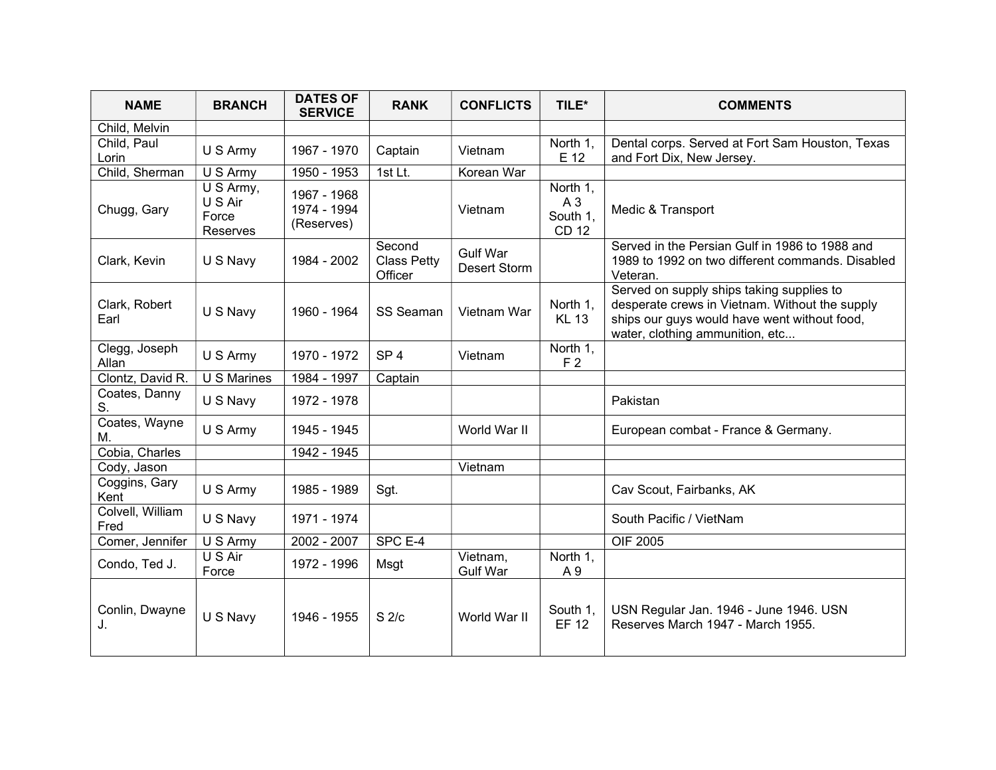| <b>NAME</b>              | <b>BRANCH</b>                             | <b>DATES OF</b><br><b>SERVICE</b>        | <b>RANK</b>                             | <b>CONFLICTS</b>                | TILE*                                      | <b>COMMENTS</b>                                                                                                                                                                |
|--------------------------|-------------------------------------------|------------------------------------------|-----------------------------------------|---------------------------------|--------------------------------------------|--------------------------------------------------------------------------------------------------------------------------------------------------------------------------------|
| Child, Melvin            |                                           |                                          |                                         |                                 |                                            |                                                                                                                                                                                |
| Child, Paul<br>Lorin     | U S Army                                  | 1967 - 1970                              | Captain                                 | Vietnam                         | North 1,<br>E 12                           | Dental corps. Served at Fort Sam Houston, Texas<br>and Fort Dix, New Jersey.                                                                                                   |
| Child, Sherman           | U S Army                                  | 1950 - 1953                              | 1st Lt.                                 | Korean War                      |                                            |                                                                                                                                                                                |
| Chugg, Gary              | U S Army,<br>U S Air<br>Force<br>Reserves | 1967 - 1968<br>1974 - 1994<br>(Reserves) |                                         | Vietnam                         | North 1,<br>A3<br>South 1.<br><b>CD 12</b> | Medic & Transport                                                                                                                                                              |
| Clark, Kevin             | U S Navy                                  | 1984 - 2002                              | Second<br><b>Class Petty</b><br>Officer | <b>Gulf War</b><br>Desert Storm |                                            | Served in the Persian Gulf in 1986 to 1988 and<br>1989 to 1992 on two different commands. Disabled<br>Veteran.                                                                 |
| Clark, Robert<br>Earl    | U S Navy                                  | 1960 - 1964                              | <b>SS Seaman</b>                        | Vietnam War                     | North 1.<br><b>KL 13</b>                   | Served on supply ships taking supplies to<br>desperate crews in Vietnam. Without the supply<br>ships our guys would have went without food,<br>water, clothing ammunition, etc |
| Clegg, Joseph<br>Allan   | U S Army                                  | 1970 - 1972                              | SP <sub>4</sub>                         | Vietnam                         | North 1,<br>F <sub>2</sub>                 |                                                                                                                                                                                |
| Clontz, David R.         | U S Marines                               | 1984 - 1997                              | Captain                                 |                                 |                                            |                                                                                                                                                                                |
| Coates, Danny<br>S.      | U S Navy                                  | 1972 - 1978                              |                                         |                                 |                                            | Pakistan                                                                                                                                                                       |
| Coates, Wayne<br>M.      | U S Army                                  | 1945 - 1945                              |                                         | World War II                    |                                            | European combat - France & Germany.                                                                                                                                            |
| Cobia, Charles           |                                           | 1942 - 1945                              |                                         |                                 |                                            |                                                                                                                                                                                |
| Cody, Jason              |                                           |                                          |                                         | Vietnam                         |                                            |                                                                                                                                                                                |
| Coggins, Gary<br>Kent    | U S Army                                  | 1985 - 1989                              | Sgt.                                    |                                 |                                            | Cav Scout, Fairbanks, AK                                                                                                                                                       |
| Colvell, William<br>Fred | U S Navy                                  | 1971 - 1974                              |                                         |                                 |                                            | South Pacific / VietNam                                                                                                                                                        |
| Comer, Jennifer          | U S Army                                  | 2002 - 2007                              | SPC E-4                                 |                                 |                                            | <b>OIF 2005</b>                                                                                                                                                                |
| Condo, Ted J.            | U S Air<br>Force                          | 1972 - 1996                              | Msgt                                    | Vietnam,<br><b>Gulf War</b>     | North 1,<br>A 9                            |                                                                                                                                                                                |
| Conlin, Dwayne<br>J.     | U S Navy                                  | 1946 - 1955                              | S <sub>2/c</sub>                        | World War II                    | South 1,<br><b>EF 12</b>                   | USN Regular Jan. 1946 - June 1946. USN<br>Reserves March 1947 - March 1955.                                                                                                    |